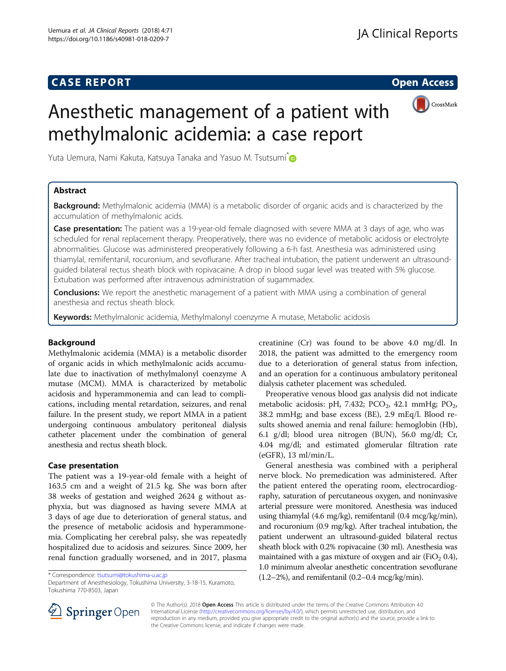# **CASE REPORT CASE REPORT CASE REPORT**



# Anesthetic management of a patient with methylmalonic acidemia: a case report

Yuta Uemura, Nami Kakuta, Katsuya Tanaka and Yasuo M. Tsutsumi<sup>[\\*](http://orcid.org/0000-0002-1997-082X)</sup>

# Abstract

Background: Methylmalonic acidemia (MMA) is a metabolic disorder of organic acids and is characterized by the accumulation of methylmalonic acids.

Case presentation: The patient was a 19-year-old female diagnosed with severe MMA at 3 days of age, who was scheduled for renal replacement therapy. Preoperatively, there was no evidence of metabolic acidosis or electrolyte abnormalities. Glucose was administered preoperatively following a 6-h fast. Anesthesia was administered using thiamylal, remifentanil, rocuronium, and sevoflurane. After tracheal intubation, the patient underwent an ultrasoundguided bilateral rectus sheath block with ropivacaine. A drop in blood sugar level was treated with 5% glucose. Extubation was performed after intravenous administration of sugammadex.

**Conclusions:** We report the anesthetic management of a patient with MMA using a combination of general anesthesia and rectus sheath block.

**Keywords:** Methylmalonic acidemia, Methylmalonyl coenzyme A mutase, Metabolic acidosis

# Background

Methylmalonic acidemia (MMA) is a metabolic disorder of organic acids in which methylmalonic acids accumulate due to inactivation of methylmalonyl coenzyme A mutase (MCM). MMA is characterized by metabolic acidosis and hyperammonemia and can lead to complications, including mental retardation, seizures, and renal failure. In the present study, we report MMA in a patient undergoing continuous ambulatory peritoneal dialysis catheter placement under the combination of general anesthesia and rectus sheath block.

### Case presentation

The patient was a 19-year-old female with a height of 163.5 cm and a weight of 21.5 kg. She was born after 38 weeks of gestation and weighed 2624 g without asphyxia, but was diagnosed as having severe MMA at 3 days of age due to deterioration of general status, and the presence of metabolic acidosis and hyperammonemia. Complicating her cerebral palsy, she was repeatedly hospitalized due to acidosis and seizures. Since 2009, her renal function gradually worsened, and in 2017, plasma

Department of Anesthesiology, Tokushima University, 3-18-15, Kuramoto, Tokushima 770-8503, Japan

creatinine (Cr) was found to be above 4.0 mg/dl. In 2018, the patient was admitted to the emergency room due to a deterioration of general status from infection, and an operation for a continuous ambulatory peritoneal dialysis catheter placement was scheduled.

Preoperative venous blood gas analysis did not indicate metabolic acidosis: pH, 7.432;  $PCO<sub>2</sub>$ , 42.1 mmHg;  $PO<sub>2</sub>$ , 38.2 mmHg; and base excess (BE), 2.9 mEq/l. Blood results showed anemia and renal failure: hemoglobin (Hb), 6.1 g/dl; blood urea nitrogen (BUN), 56.0 mg/dl; Cr, 4.04 mg/dl; and estimated glomerular filtration rate (eGFR), 13 ml/min/L.

General anesthesia was combined with a peripheral nerve block. No premedication was administered. After the patient entered the operating room, electrocardiography, saturation of percutaneous oxygen, and noninvasive arterial pressure were monitored. Anesthesia was induced using thiamylal (4.6 mg/kg), remifentanil (0.4 mcg/kg/min), and rocuronium (0.9 mg/kg). After tracheal intubation, the patient underwent an ultrasound-guided bilateral rectus sheath block with 0.2% ropivacaine (30 ml). Anesthesia was maintained with a gas mixture of oxygen and air (FiO<sub>2</sub> 0.4), 1.0 minimum alveolar anesthetic concentration sevoflurane (1.2–2%), and remifentanil (0.2–0.4 mcg/kg/min). \* Correspondence: [tsutsumi@tokushima-u.ac.jp](mailto:tsutsumi@tokushima-u.ac.jp)



© The Author(s). 2018 Open Access This article is distributed under the terms of the Creative Commons Attribution 4.0 International License ([http://creativecommons.org/licenses/by/4.0/\)](http://creativecommons.org/licenses/by/4.0/), which permits unrestricted use, distribution, and reproduction in any medium, provided you give appropriate credit to the original author(s) and the source, provide a link to the Creative Commons license, and indicate if changes were made.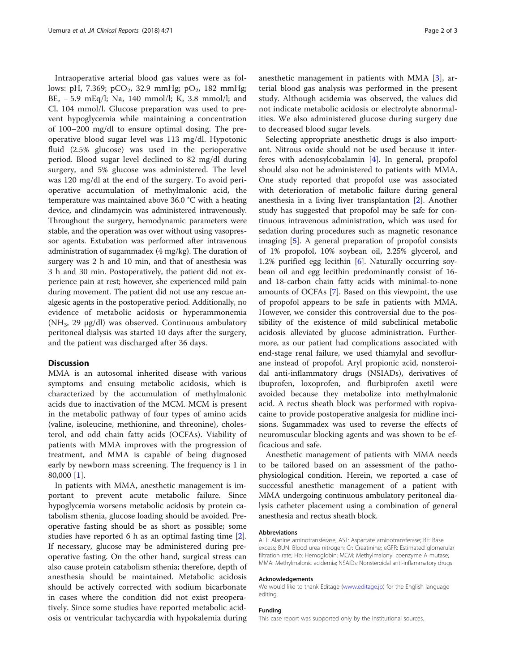Intraoperative arterial blood gas values were as follows: pH, 7.369; pCO<sub>2</sub>, 32.9 mmHg; pO<sub>2</sub>, 182 mmHg; BE, − 5.9 mEq/l; Na, 140 mmol/l; K, 3.8 mmol/l; and Cl, 104 mmol/l. Glucose preparation was used to prevent hypoglycemia while maintaining a concentration of 100–200 mg/dl to ensure optimal dosing. The preoperative blood sugar level was 113 mg/dl. Hypotonic fluid (2.5% glucose) was used in the perioperative period. Blood sugar level declined to 82 mg/dl during surgery, and 5% glucose was administered. The level was 120 mg/dl at the end of the surgery. To avoid perioperative accumulation of methylmalonic acid, the temperature was maintained above 36.0 °C with a heating device, and clindamycin was administered intravenously. Throughout the surgery, hemodynamic parameters were stable, and the operation was over without using vasopressor agents. Extubation was performed after intravenous administration of sugammadex (4 mg/kg). The duration of surgery was 2 h and 10 min, and that of anesthesia was 3 h and 30 min. Postoperatively, the patient did not experience pain at rest; however, she experienced mild pain during movement. The patient did not use any rescue analgesic agents in the postoperative period. Additionally, no evidence of metabolic acidosis or hyperammonemia ( $NH<sub>3</sub>$ , 29  $\mu$ g/dl) was observed. Continuous ambulatory peritoneal dialysis was started 10 days after the surgery, and the patient was discharged after 36 days.

## **Discussion**

MMA is an autosomal inherited disease with various symptoms and ensuing metabolic acidosis, which is characterized by the accumulation of methylmalonic acids due to inactivation of the MCM. MCM is present in the metabolic pathway of four types of amino acids (valine, isoleucine, methionine, and threonine), cholesterol, and odd chain fatty acids (OCFAs). Viability of patients with MMA improves with the progression of treatment, and MMA is capable of being diagnosed early by newborn mass screening. The frequency is 1 in 80,000 [\[1](#page-2-0)].

In patients with MMA, anesthetic management is important to prevent acute metabolic failure. Since hypoglycemia worsens metabolic acidosis by protein catabolism sthenia, glucose loading should be avoided. Preoperative fasting should be as short as possible; some studies have reported 6 h as an optimal fasting time [\[2](#page-2-0)]. If necessary, glucose may be administered during preoperative fasting. On the other hand, surgical stress can also cause protein catabolism sthenia; therefore, depth of anesthesia should be maintained. Metabolic acidosis should be actively corrected with sodium bicarbonate in cases where the condition did not exist preoperatively. Since some studies have reported metabolic acidosis or ventricular tachycardia with hypokalemia during anesthetic management in patients with MMA [\[3](#page-2-0)], arterial blood gas analysis was performed in the present study. Although acidemia was observed, the values did not indicate metabolic acidosis or electrolyte abnormalities. We also administered glucose during surgery due to decreased blood sugar levels.

Selecting appropriate anesthetic drugs is also important. Nitrous oxide should not be used because it interferes with adenosylcobalamin [[4\]](#page-2-0). In general, propofol should also not be administered to patients with MMA. One study reported that propofol use was associated with deterioration of metabolic failure during general anesthesia in a living liver transplantation [[2\]](#page-2-0). Another study has suggested that propofol may be safe for continuous intravenous administration, which was used for sedation during procedures such as magnetic resonance imaging [[5\]](#page-2-0). A general preparation of propofol consists of 1% propofol, 10% soybean oil, 2.25% glycerol, and 1.2% purified egg lecithin [[6\]](#page-2-0). Naturally occurring soybean oil and egg lecithin predominantly consist of 16 and 18-carbon chain fatty acids with minimal-to-none amounts of OCFAs [\[7\]](#page-2-0). Based on this viewpoint, the use of propofol appears to be safe in patients with MMA. However, we consider this controversial due to the possibility of the existence of mild subclinical metabolic acidosis alleviated by glucose administration. Furthermore, as our patient had complications associated with end-stage renal failure, we used thiamylal and sevoflurane instead of propofol. Aryl propionic acid, nonsteroidal anti-inflammatory drugs (NSIADs), derivatives of ibuprofen, loxoprofen, and flurbiprofen axetil were avoided because they metabolize into methylmalonic acid. A rectus sheath block was performed with ropivacaine to provide postoperative analgesia for midline incisions. Sugammadex was used to reverse the effects of neuromuscular blocking agents and was shown to be efficacious and safe.

Anesthetic management of patients with MMA needs to be tailored based on an assessment of the pathophysiological condition. Herein, we reported a case of successful anesthetic management of a patient with MMA undergoing continuous ambulatory peritoneal dialysis catheter placement using a combination of general anesthesia and rectus sheath block.

#### Abbreviations

ALT: Alanine aminotransferase; AST: Aspartate aminotransferase; BE: Base excess; BUN: Blood urea nitrogen; Cr: Creatinine; eGFR: Estimated glomerular filtration rate; Hb: Hemoglobin; MCM: Methylmalonyl coenzyme A mutase; MMA: Methylmalonic acidemia; NSAIDs: Nonsteroidal anti-inflammatory drugs

#### Acknowledgements

We would like to thank Editage [\(www.editage.jp\)](http://www.editage.jp) for the English language editing.

#### Funding

This case report was supported only by the institutional sources.